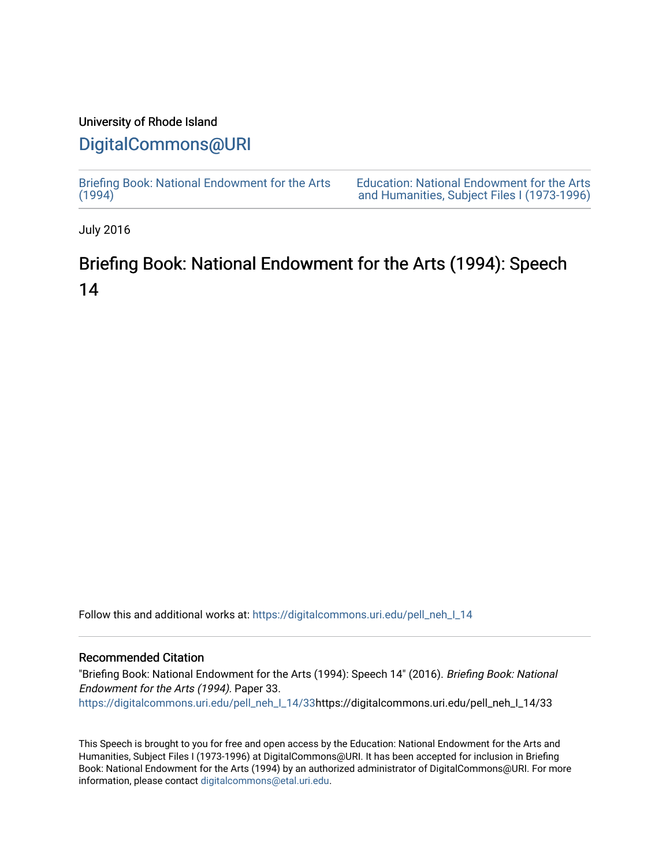## University of Rhode Island

# [DigitalCommons@URI](https://digitalcommons.uri.edu/)

[Briefing Book: National Endowment for the Arts](https://digitalcommons.uri.edu/pell_neh_I_14)  $(1994)$ 

[Education: National Endowment for the Arts](https://digitalcommons.uri.edu/pell_neh_I)  [and Humanities, Subject Files I \(1973-1996\)](https://digitalcommons.uri.edu/pell_neh_I) 

July 2016

# Briefing Book: National Endowment for the Arts (1994): Speech 14

Follow this and additional works at: [https://digitalcommons.uri.edu/pell\\_neh\\_I\\_14](https://digitalcommons.uri.edu/pell_neh_I_14?utm_source=digitalcommons.uri.edu%2Fpell_neh_I_14%2F33&utm_medium=PDF&utm_campaign=PDFCoverPages) 

#### Recommended Citation

"Briefing Book: National Endowment for the Arts (1994): Speech 14" (2016). Briefing Book: National Endowment for the Arts (1994). Paper 33. [https://digitalcommons.uri.edu/pell\\_neh\\_I\\_14/33h](https://digitalcommons.uri.edu/pell_neh_I_14/33?utm_source=digitalcommons.uri.edu%2Fpell_neh_I_14%2F33&utm_medium=PDF&utm_campaign=PDFCoverPages)ttps://digitalcommons.uri.edu/pell\_neh\_I\_14/33

This Speech is brought to you for free and open access by the Education: National Endowment for the Arts and Humanities, Subject Files I (1973-1996) at DigitalCommons@URI. It has been accepted for inclusion in Briefing Book: National Endowment for the Arts (1994) by an authorized administrator of DigitalCommons@URI. For more information, please contact [digitalcommons@etal.uri.edu.](mailto:digitalcommons@etal.uri.edu)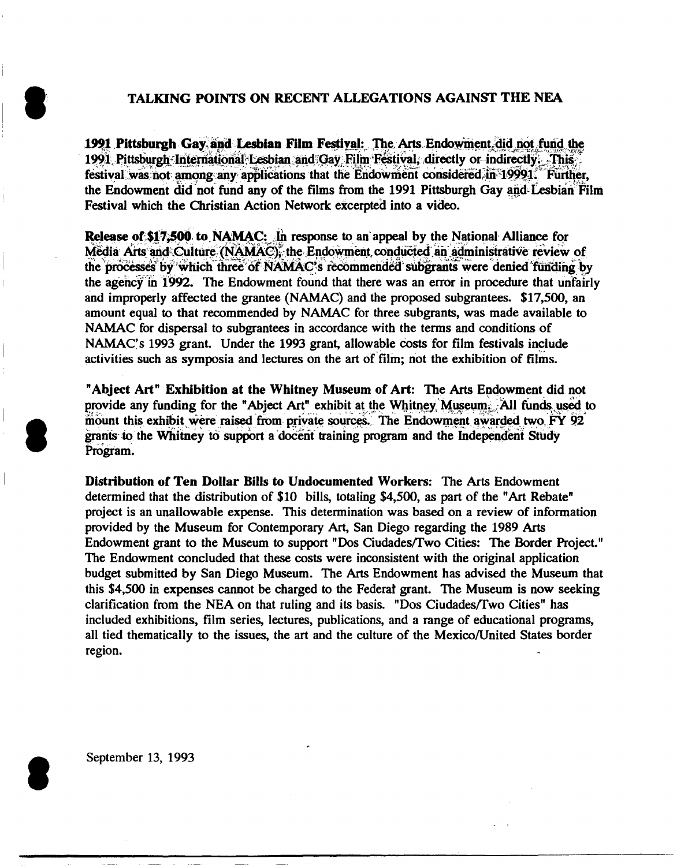### TALKING POINTS ON RECENT ALLEGATIONS AGAINST THE NEA

1991 Pittsburgh Gay and Lesbian Film Festival: The Arts Endowment did not fund the 1991 Pittsburgh International Lesbian and Gay Film Festival, directly or indirectly. This festival was not among any applications that the Endowment considered in 19991. Further, the Endowment did not fund any of the films from the 1991 Pittsburgh Gay and Lesbian Film Festival which the Christian Action Network excerpted into a video.

Release of \$17,500 to NAMAC: In response to an appeal by the National Alliance for Media Arts and Culture (NAMAC), the Endowment conducted an administrative review of the processes by which three of NAMAC's recommended subgrants were denied funding by the agency in 1992. The Endowment found that there was an error in procedure that unfairly and improperly affected the grantee (NAMAC) and the proposed subgrantees. \$17,500, an amount equal to that recommended by NAMAC for three subgrants, was made available to NAMAC for dispersal to subgrantees in accordance with the terms and conditions of NAMAC's 1993 grant. Under the 1993 grant, allowable costs for film festivals include activities such as symposia and lectures on the art of film; not the exhibition of films.

"Abject Art" Exhibition at the Whitney Museum of Art: The Arts Endowment did not provide any funding for the "Abject Art" exhibit at the Whitney Museum. All funds used to mount this exhibit were raised from private sources. The Endowment awarded two FY 92 grants to the Whitney to support a docent training program and the Independent Study Program.

Distribution of Ten Dollar Bills to Undocumented Workers: The Arts Endowment determined that the distribution of \$10 bills, totaling \$4,500, as part of the "Art Rebate" project is an unallowable expense. This determination was based on a review of information provided by the Museum for Contemporary Art, San Diego regarding the 1989 Arts Endowment grant to the Museum to support "Dos Ciudades/Two Cities: The Border Project." The Endowment concluded that these costs were inconsistent with the original application budget submitted by San Diego Museum. The Arts Endowment has advised the Museum that this \$4,500 in expenses cannot be charged to the Federal grant. The Museum is now seeking clarification from the NEA on that ruling and its basis. "Dos Ciudades/Two Cities" has included exhibitions, film series, lectures, publications, and a range of educational programs, all tied thematically to the issues, the art and the culture of the Mexico/United States border region.

September 13, 1993